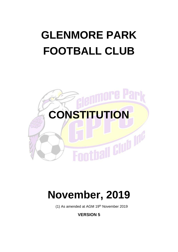# **GLENMORE PARK FOOTBALL CLUB**



## **November, 2019**

(1) As amended at AGM 19th November 2019

**VERSION 5**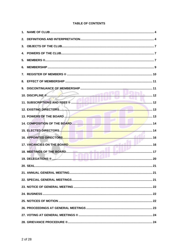## **TABLE OF CONTENTS**

| 15. ELECTED DIRECTORS. |  |
|------------------------|--|
|                        |  |
|                        |  |
|                        |  |
|                        |  |
|                        |  |
|                        |  |
|                        |  |
|                        |  |
|                        |  |
|                        |  |
|                        |  |
|                        |  |
|                        |  |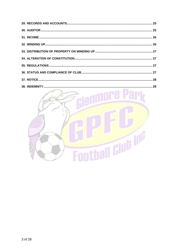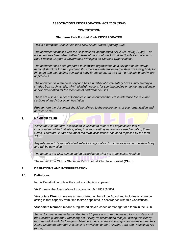#### **ASSOCIATIONS INCORPORATION ACT 2009 (NSW)**

#### **CONSTITUTION**

#### **Glenmore Park Football Club INCORPORATED**

*This is a template Constitution for a New South Wales Sporting Club.* 

*The document complies with the Associations Incorporation Act 2009 (NSW) ("Act"). The document has been also drafted to take into account the Australian Sports Commission's Best Practice Corporate Governance Principles for Sporting Organisations.* 

*The document has been prepared to show the organisation as a key part of the overall national structure for the Sport and thus there are references to the state governing body for the sport and the national governing body for the sport, as well as the regional body (where applicable).*

*The document is a template only and has a number of commentary boxes, indicated by a shaded box, such as this, which highlight options for sporting bodies or set out the rationale and/or explanation for the inclusion of particular clauses.*

*There are also a number of footnotes in the document that cross-reference the relevant sections of the Act or other legislation.*

*Please note the document should be tailored to the requirements of your organisation and not vice versa.*

<span id="page-3-0"></span>**1. NAME OF CLUB**

*Within the Act, the term 'association' is utilised to refer to the organisation that is incorporated. While that still applies, in a sport setting we are more used to calling them Clubs. Therefore, in this document the term 'association' has been replaced by the term 'Club'.* 

*Any reference to 'association' will refer to a regional or district association or the state body and will be duly titled.* 

*The name of the Club can be varied according to what the organisation requires.*

The name of the Club is Glenmore Park Football Club Incorporated (**Club**).

#### <span id="page-3-1"></span>**2. DEFINITIONS AND INTERPRETATION**

#### **2.1 Definitions**

In this Constitution unless the contrary intention appears:

**'Act'** means the *Associations Incorporation Act 2009 (NSW)*.

**'Associate Director'** means an associate member of the Board and includes any person acting in that capacity from time to time appointed in accordance with this Constitution.

**'Associate Member'** means a registered player, coach or manager of a team in the Club

*Some documents make Junior Members 16 years and under; however, for consistency with the Children (Care and Protection) Act (NSW) we recommend that you distinguish clearly between adult and children/youth Members. Any recreation and sport organisation that has Junior Members therefore is subject to provisions of the Children (Care and Protection) Act (NSW).*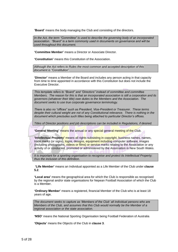**'Board'** means the body managing the Club and consisting of the directors.

*In the Act, the term "Committee" is used to describe the governing body of an incorporated association. "Board" is a term commonly used in documents on governance and will be used throughout this document.*

**'Committee Member'** means a Director or Associate Director.

**'Constitution'** means this Constitution of the Association.

*Although the Act refers to Rules the most common and accepted description of this document is "Constitution".*

**'Director'** means a Member of the Board and includes any person acting in that capacity from time to time appointed in accordance with this Constitution but does not include the Executive Director.

*This template refers to "Board" and "Directors" instead of committee and committee Members. The reason for this is that an incorporated association is still a corporation and its governors (whatever their title) owe duties to the Members and the Association. The document seeks to use true corporate governance terminology.* 

*There is also no "offices" such as President, Vice-President or Treasurer. These terms despite their cultural weight are not of any Constitutional relevance. There is nothing in the document which precludes such titles being attached to particular Director's offices.*

*Titles of Director positions and job descriptions can be included in Regulations, if desired.*

**'General Meeting'** means the annual or any special general meeting of the Club.

**'Intellectual Property'** means all rights subsisting in copyright, business names, names, trade marks (or signs), logos, designs, equipment including computer software, images (including photographs, videos or films) or service marks relating to the Association or any activity of or conducted, promoted or administered by the Association in New South Wales.

*It is important for a sporting organisation to recognise and protect its Intellectual Property; thus the inclusion of this definition.*

**'Life Member'** means an Individual appointed as a Life Member of the Club under **clause [5.2](#page-7-0)**.

**'Local area'** means the geographical area for which the Club is responsible as recognised by the regional and/or state organisations for Nepean Football Association of which the Club is a Member.

**'Ordinary Member'** means a registered, financial Member of the Club who is at least 18 years of age.

*The document seeks to capture as 'Members of the Club' all individual persons who are Members of the Club, and assumes that this Club would normally be the Member of a regional association or the state association.*

**'NSO'** means the National Sporting Organisation being Football Federation of Australia

**'Objects'** means the Objects of the Club in **clause 3**.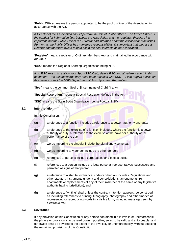**'Public Officer'** means the person appointed to be the public officer of the Association in accordance with the Act.

*A Director of the Association should perform the role of Public Officer. The Public Officer is the conduit for information flow between the Association and the regulator, therefore it is important that the Public Officer is a Director and informed about the Association's activities. Further, as the Public Officer has numerous responsibilities, it is important that they are a Director and therefore owe a duty to act in the best interests of the Association.*

**'Register'** means a register of Ordinary Members kept and maintained in accordance with **clause [7](#page-9-0)**.

**'RSO'** means the Regional Sporting Organisation being NFA

*If no RSO exists in relation your Sport/SSO/Club, delete RSO and all reference to it in this document – the deleted words may need to be replaced with SSO – if you require advice on this issue, contact the NSW Department of Arts, Sport and Recreation.*

**'Seal'** means the common Seal of [insert name of Club] (if any).

**'Special Resolution'** means a Special Resolution defined in the Act.

**'SSO'** means the State Sport Organisation being Football NSW

#### **2.2 Interpretation**

In this Constitution:

- (a) a reference to a function includes a reference to a power, authority and duty;
- (b) a reference to the exercise of a function includes, where the function is a power, authority or duty, a reference to the exercise of the power or authority of the performance of the duty:
- (c) words importing the singular include the plural and vice versa;
- (d) words importing any gender include the other genders;
- (e) references to persons include corporations and bodies politic;
- (f) references to a person include the legal personal representatives, successors and permitted assigns of that person;
- (g) a reference to a statute, ordinance, code or other law includes Regulations and other statutory instruments under it and consolidations, amendments, reenactments or replacements of any of them (whether of the same or any legislative authority having jurisdiction); and
- (h) a reference to "writing" shall unless the contrary intention appears, be construed as including references to printing, lithography, photography and other modes of representing or reproducing words in a visible form, including messages sent by electronic mail.

#### **2.3 Severance**

If any provision of this Constitution or any phrase contained in it is invalid or unenforceable, the phrase or provision is to be read down if possible, so as to be valid and enforceable, and otherwise shall be severed to the extent of the invalidity or unenforceability, without affecting the remaining provisions of this Constitution.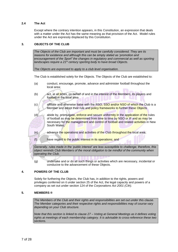#### **2.4 The Act**

Except where the contrary intention appears, in this Constitution, an expression that deals with a matter under the Act has the same meaning as that provision of the Act. Model rules under the Act are expressly displaced by this Constitution.

#### <span id="page-6-0"></span>**3. OBJECTS OF THE CLUB**

*The Objects of the Club are important and must be carefully considered. They are its reasons for existence and although this can be simply stated as 'promotion and encouragement of the Sport" the changes in regulatory and commercial as well as sporting landscapes require a 21st century sporting body to have broad Objects.*

*The Objects are expressed to apply to a club level organisation.*

The Club is established solely for the Objects. The Objects of the Club are established to:

- (a) conduct, encourage, promote, advance and administer football throughout the local area;
- (b) act, at all times, on behalf of and in the interest of the Members, its players and football in the local area
- (c) affiliate and otherwise liaise with the RSO, SSO and/or NSO of which the Club is a Member and adopt their rule and policy frameworks to further these Objects
- (d) abide by, promulgate, enforce and secure uniformity in the application of the rules of football as may be determined from time to time by NSO or IF and as may be necessary for the management and control of football and related activities in New South Wales:
- (e) advance the operations and activities of the Club throughout the local area;
- (f) have regard to the public interest in its operations; and

*Generally, rules made in the 'public interest' are less susceptible to challenge; therefore, this object reminds Club Members of the moral obligation to be mindful of the community when operating the Club.*

(g) undertake and or do all such things or activities which are necessary, incidental or conducive to the advancement of these Objects.

#### <span id="page-6-1"></span>**4. POWERS OF THE CLUB**

Solely for furthering the Objects, the Club has, in addition to the rights, powers and privileges conferred on it under section 25 of the Act, the legal capacity and powers of a company as set out under section 124 of the *Corporations Act 2001 (Cth)*.

#### <span id="page-6-2"></span>**5. MEMBERS ®**

*The Members of the Club and their rights and responsibilities are set out under this clause. The Member categories and their respective rights and responsibilities may of course vary depending on your Club structure.*

*Note that this section is linked to clause 27 – Voting at General Meetings as it defines voting rights at meetings of each membership category. It is advisable to cross-reference these two sections.*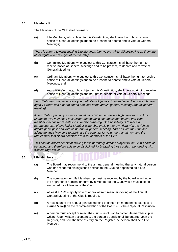#### <span id="page-7-1"></span>**5.1 Members ®**

The Members of the Club shall consist of:

(a) Life Members, who subject to this Constitution, shall have the right to receive notice of General Meetings and to be present, to debate and to vote at General Meetings;

*There is a trend towards making Life Members 'non voting' while still bestowing on them the other rights and privileges of membership.*

- (b) Committee Members, who subject to this Constitution, shall have the right to receive notice of General Meetings and to be present, to debate and to vote at General Meetings;
- (c) Ordinary Members, who subject to this Constitution, shall have the right to receive notice of General Meetings and to be present, to debate and to vote at General Meetings; and
- (d) Associate Members, who subject to this Constitution, shall have no right to receive notice of General Meetings and no right to debate or vote at General Meetings.

*Your Club may choose to refine your definition of 'juniors' to allow Junior Members who are aged 16 years and older to attend and vote at the annual general meeting (annual general meeting).*

*If your Club is primarily a junior competition Club or you have a high proportion of Junior Members, you may need to consider membership categories that ensure that your membership has representation in decision-making. One possibility is to make a parent/guardian of any junior Member a Member in his or her own right with the right to attend, participate and vote at the annual general meeting. This ensures the Club has adequate adult Members to maximise the potential for volunteer recruitment and the requirement that Board directors are also Members of the Club.* 

*This has the added benefit of making those parents/guardians subject to the Club's code of behaviour and therefore able to be disciplined for breaching those codes, e.g. dealing with sideline rage issues.*

## <span id="page-7-0"></span>**5.2 Life Members**

- (a) The Board may recommend to the annual general meeting that any natural person who has rendered distinguished service to the Club be appointed as a Life Member.
- (b) The nomination for Life Membership must be received by the board in writing on the appropriate nomination form by a Member of the Club, which must also be seconded by a Member of the Club
- (c) At least a 75% majority vote of approval from members voting at the Annual General Meeting of the Club is required.
- (d) A resolution of the annual general meeting to confer life membership (subject to **clause [5.2\(](#page-7-0)e)**) on the recommendation of the Board must be a Special Resolution.
- (e) A person must accept or reject the Club's resolution to confer life membership in writing. Upon written acceptance, the person's details shall be entered upon the Register, and from the time of entry on the Register the person shall be a Life Member.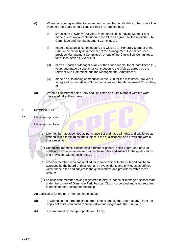- (f) When considering whether to recommend a member for eligibility to become a Life Member, the Board should consider that the nominee has;
	- (i) a minimum of twenty (20) years membership as a Playing Member and made a substantial contribution to the Club as agreed by the relevant Sub-Committee and the Management Committee; or
	- (ii) made a substantial contribution to the Club as an Honorary Member of the Club in the capacity as a member of the Management Committee (or a previous Management Committee), or one of the Club's Sub-Committees, for at least seven (7) years; or
	- (iii) been a Coach or Manager of any of the Club's teams, for at least fifteen (15) years and made a substantial contribution to the Club as agreed by the relevant Sub-Committee and the Management Committee; or
	- (iv) made an outstanding contribution to the Club for the last fifteen (15) years as agreed by the relevant Sub-Committee and the Management Committee; or
- (g) When a Life Member dies, they shall be listed as a Life Member with the word deceased' after their name

#### <span id="page-8-0"></span>**6. MEMBERSHIP**

**6.1** Membership types

Members can be –

- (a) Life member, as appointed as per clause 5.2 and have all rights and privileges as defined within these rules and subject to the qualifications and provisions within these rules, or
- (b) Committee member, elected as a director or general office bearer and have all rights and privileges as defined within these rules and subject to the qualifications and provisions within these rules, or
- (c) ordinary member, who has applied for membership with the club and has been approved by the board of directors, and have all rights and privileges as defined within these rules and subject to the qualifications and provisions within these rules, or
- (d) an associate member having registered to play in, coach or manage a soccer team under the control of Glenmore Park Football Club Incorporated and is not required to nominate for ordinary membership

An application for ordinary membership must be:

- (a) in writing on the form prescribed from time to time by the Board (if any), from the applicant or its nominated representative and lodged with the Club; and
- (b) accompanied by the appropriate fee (if any).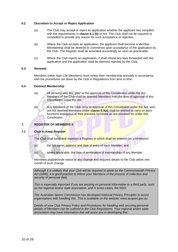#### **6.2 Discretion to Accept or Reject Application**

- (a) The Club may accept or reject an application whether the applicant has complied with the requirements in **clause 6.1 (b)** or not. The Club shall not be required or compelled to provide any reason for such acceptance or rejection.
- (b) Where the Club accepts an application, the applicant shall become a Member. Membership shall be deemed to commence upon acceptance of the application by the Club. The Register shall be amended accordingly as soon as practicable.
- (c) Where the Club rejects an application, it shall refund any fees forwarded with the application and the application shall be deemed rejected by the Club.

#### **6.3 Renewal**

Members (other than Life Members) must renew their membership annually in accordance with the procedures set down by the Club in Regulations from time to time.

#### <span id="page-9-2"></span><span id="page-9-1"></span>**6.4 Deemed Membership**

- (a) All persons who are, prior to the approval of this Constitution under the Act, Members of the Club shall be deemed Members from the time of approval of this Constitution under the Act.
- (b) Any Members of the Club, prior to approval of this Constitution under the Act, who are not deemed Members under **claus[e 6.4](#page-9-1)[\(a\)](#page-9-2)** shall be entitled to carry on such functions analogous to their previous functions as are provided for under this Constitution.

#### <span id="page-9-0"></span>**7. REGISTER OF MEMBERS ®**

#### **7.1 Club to Keep Register**

The Club shall keep and maintain a Register in which shall be entered (as a minimum):

- (a) the full name, address and date of entry of each Member; and
- (b) where applicable, the date of termination of membership of any Member.

Members shall provide notice of any change and required details to the Club within one month of such change.

*Although it is unlikely that your Club will be required to abide by the Commonwealth Privacy Act (2000), it is good practice to inform your Members of the process of collection and security of personal data.* 

*This is especially important if you are passing on personal information to a third party, such as the regional and/or state association, and in some cases, the NSO.* 

*The Australian Sports Commission has developed National Privacy Principles to assist organisations with handling this. This is available on the website: www.ausport.gov.au* 

*Details of your Club Privacy Policy and Procedures for handling and securing personal details of Members can be outlined in the Club Regulations. Your regional and/or state association may have information that will assist you in developing this.*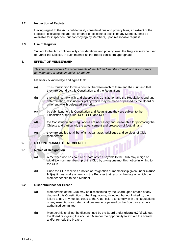#### **7.2 Inspection of Register**

Having regard to the Act, confidentiality considerations and privacy laws, an extract of the Register, excluding the address or other direct contact details of any Member, shall be available for inspection (but not copying) by Members, upon reasonable request.

#### **7.3 Use of Register**

Subject to the Act, confidentiality considerations and privacy laws, the Register may be used to further the Objects, in such manner as the Board considers appropriate.

#### <span id="page-10-0"></span>**8. EFFECT OF MEMBERSHIP**

*This clause reconfirms the requirements of the Act and that the Constitution is a contract between the Association and its Members.*

Members acknowledge and agree that:

- (a) This Constitution forms a contract between each of them and the Club and that they are bound by this Constitution and the Regulations.
- (b) they shall comply with and observe this Constitution and the Regulations and any determination, resolution or policy which may be made or passed by the Board or other entity with delegated authority;
- (c) by submitting to this Constitution and Regulations they are subject to the jurisdiction of the Club, RSO, SSO and NSO.
- (d) the Constitution and Regulations are necessary and reasonable for promoting the Objects and particularly the advancement and protection of football; and
- (e) they are entitled to all benefits, advantages, privileges and services of Club membership. **h** III

#### <span id="page-10-1"></span>**9. DISCONTINUANCE OF MEMBERSHIP**

#### <span id="page-10-3"></span><span id="page-10-2"></span>**9.1 Notice of Resignation**

- (a) A Member who has paid all arrears of fees payable to the Club may resign or withdraw from membership of the Club by giving one month's notice in writing to the Club.
- (b) Once the Club receives a notice of resignation of membership given under **clause [9.1](#page-10-2)[\(a\)](#page-10-3)**, it must make an entry in the Register that records the date on which the Member ceased to be a Member.

#### <span id="page-10-5"></span><span id="page-10-4"></span>**9.2 Discontinuance for Breach**

- (a) Membership of the Club may be discontinued by the Board upon breach of any clause of this Constitution or the Regulations, including, but not limited to, the failure to pay any monies owed to the Club, failure to comply with the Regulations or any resolutions or determinations made or passed by the Board or any duly authorised committee.
- (b) Membership shall not be discontinued by the Board under **clause [9.2](#page-10-4)[\(a\)](#page-10-5)** without the Board first giving the accused Member the opportunity to explain the breach and/or remedy the breach.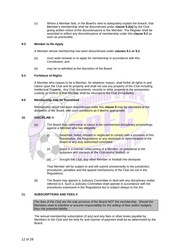(c) Where a Member fails, in the Board's view to adequately explain the breach, that Member's membership shall be discontinued under **clause [9.2](#page-10-4)[\(a\)](#page-10-5)** by the Club giving written notice of the discontinuance to the Member. The Register shall be amended to reflect any discontinuance of membership under this **clause 9.2** as soon as practicable.

#### **9.3 Member to Re-Apply**

A Member whose membership has been discontinued under **clause[s 9.1](#page-10-2) or [9.2](#page-10-4)**:

- (a) must seek renewal or re-apply for membership in accordance with this Constitution; and
- (b) may be re-admitted at the discretion of the Board.

#### **9.4 Forfeiture of Rights**

A Member who ceases to be a Member, for whatever reason, shall forfeit all rights in and claims upon the Club and its property and shall not use any property of the Club including Intellectual Property. Any Club documents, records or other property in the possession, custody or control of that Member shall be returned to the Club immediately.

#### **9.5 Membership may be Reinstated**

Membership which has been discontinued under this **clause [9](#page-10-1)** may be reinstated at the discretion of the Board, with such conditions as it deems appropriate.

#### <span id="page-11-0"></span>**10. DISCIPLINE ®**

(a) The Board may commence or cause to be commenced disciplinary proceedings against a Member who has allegedly: (i) breached, failed, refused or neglected to comply with a provision of this Constitution, the Regulations or any resolution or determination of the Board or any duly authorised committee (ii) acted in a manner unbecoming of a Member, or prejudicial to the purposes and interests of the Club and/or football; or (iii) brought the Club, any other Member or football into disrepute. That Member will be subject to and will submit unreservedly to the jurisdiction,

procedures, penalties and the appeal mechanisms of the Club set out in the Regulations.

(b) The Board may appoint a Judiciary Committee to deal with any disciplinary matter referred to it. Such a Judiciary Committee shall operate in accordance with the procedures expressed in the Regulations but is subject always to the Act.

#### <span id="page-11-1"></span>**11. SUBSCRIPTIONS AND FEES ®**

*The fees of the Club are the sole province of the Board NOT the membership. Should the Members seek to interfere or assume responsibility for the setting of fees and/or budgets, they risk potential liability.*

The annual membership subscription (if any) and any fees or other levies payable by Members to the Club and the time for and manner of payment shall be as determined by the Board.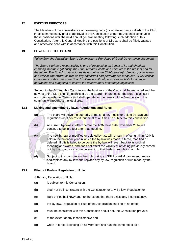#### <span id="page-12-0"></span>**12. EXISTING DIRECTORS**

The Members of the administrative or governing body (by whatever name called) of the Club in office immediately prior to approval of this Constitution under the Act shall continue in those positions until the next annual general meeting following such adoption of this Constitution. After this General Meeting the positions of Directors shall be filled, vacated and otherwise dealt with in accordance with this Constitution.

#### <span id="page-12-1"></span>**13. POWERS OF THE BOARD**

*Taken from the Australian Sports Commission's Principles of Good Governance document:*

*The Board's primary responsibility is one of trusteeship on behalf of its stakeholders, ensuring that the legal entity, the Club, remains viable and effective in the present and for the future. The Board's role includes determining the Club's strategic direction, core values and ethical framework, as well as key objectives and performance measures. A key critical component of this role is the Board's ultimate authority and responsibility for financial operations and budgeting to ensure the achievement of strategic objectives.*

Subject to the Act and this Constitution, the business of the Club shall be managed and the powers of the Club shall be exercised by the Board. . In particular, the Board shall act in accordance with the Objects and shall operate for the benefit of the Members and the community throughout the local area.

#### **13.1 Making and amending By-laws, Regulations and Rules:**

(a) The board will have the authority to make, alter, modify or delete by laws and regulations as it deems fit, but must at all times be subject to this constitution.



(b) All current by-laws in effect before the AGM held 19th November 2014 will continue to be in affect after that meeting.

(c) The new by-law or modified or deleted by-law will remain in effect until an AGM is held in the calendar year in which the by-law was made, altered, modified or deleted. If this is failed to be done the by-law will revert back to its original meaning and words, and does not affect the validity of anything previously carried out by the board or anyone pursuant to that by-law , regulation or rule.

(d) Subject to this constitution the club during an SGM or AGM can amend, repeal and replace any by-law and replace any by-law, regulation or rule made by the board.

#### **13.2 Effect of By-law, Regulation or Rule**

A By-law, Regulation or Rule:

- (a) is subject to this Constitution;
- (b) shall not be inconsistent with the Constitution or any By-law, Regulation or
- (c) Rule of Football NSW and, to the extent that there exists any inconsistency,
- (d) the By-law, Regulation or Rule of the Association shall be of no effect;
- (e) must be consistent with this Constitution and, if not, the Constitution prevails
- (f) to the extent of any inconsistency; and
- (g) when in force, is binding on all Members and has the same effect as a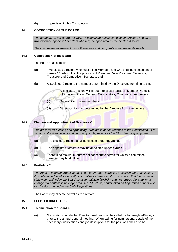(h) h) provision in this Constitution

#### <span id="page-13-0"></span>**14. COMPOSITION OF THE BOARD**

*The numbers on the Board will vary. This template has seven elected directors and up to two 'external' appointed directors who may be appointed by the elected directors.* 

*The Club needs to ensure it has a Board size and composition that meets its needs.*

#### **14.1 Composition of the Board**

The Board shall comprise

- (a) Five elected directors who must all be Members and who shall be elected under **clause 15**; who will fill the positions of President, Vice President, Secretary, Treasurer and Competition Secretary; and
- (b) Associated Directors, the number determined by the Directors from time to time

(i) Associate Directors will fill such roles as Registrar, Member Protection Information Officer, Canteen Coordinators, Coaching Co-ordinators;

(ii) General Committee members;

(iii) Other positions as determined by the Directors from time to time.

#### **14.2 Election and Appointment of Directors ®**

*The process for electing and appointing Directors is not entrenched in the Constitution. It is set out in the Regulations and can be by such process as the Club deems appropriate.*

- (a) The elected Directors shall be elected under **clause [15](#page-13-1)**.
- (b) The appointed Directors may be appointed under **clause 16**.
- (c) There is no maximum number of consecutive terms for which a committee member may hold office.

#### **14.3 Portfolios ®**

*The trend in sporting organisations is not to entrench portfolios or titles in the Constitution. If it is determined to allocate portfolios or titles to Directors, it is considered that the discretion simply be retained in the Board so as to maintain flexibility and not require Constitutional change if a portfolio is no longer required. Structure, participation and operation of portfolios can be documented in the Club Regulations.*

The Board may allocate portfolios to directors.

#### <span id="page-13-1"></span>**15. ELECTED DIRECTORS**

#### **15.1 Nomination for Board ®**

(a) Nominations for elected Director positions shall be called for forty-eight (48) days prior to the annual general meeting. When calling for nominations, details of the necessary qualifications and job descriptions for the positions shall also be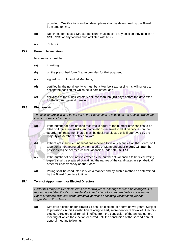provided. Qualifications and job descriptions shall be determined by the Board from time to time.

- (b) Nominees for elected Director positions must declare any position they hold in an NSO, SSO or any football club affiliated with RSO.
- (c) or RSO.

#### **15.2 Form of Nomination**

Nominations must be:

- (a) in writing;
- (b) on the prescribed form (if any) provided for that purpose;
- (c) signed by two Individual Members;
- (d) certified by the nominee (who must be a Member) expressing his willingness to accept the position for which he is nominated; and
- (e) delivered to the Club Secretary not less than ten (10) days before the date fixed for the annual general meeting.

<span id="page-14-0"></span>**15.3 Elections ®**

*The election process is to be set out in the Regulations. It should be the process which the Club considers is best for it.*

<span id="page-14-1"></span>(a) If the number of nominations received is equal to the number of vacancies to be filled or if there are insufficient nominations received to fill all vacancies on the Board, then those nominated shall be declared elected only if approved by the majority of **Members** entitled to vote.

(b) If there are insufficient nominations received to fill all vacancies on the Board, or if a person is not approved by the majority of Members under **claus[e 15.3](#page-14-0)[\(a\)](#page-14-1)**, the positions will be deemed casual vacancies under **clause [17.1](#page-15-2)**.

- (c) If the number of nominations exceeds the number of vacancies to be filled, voting papers shall be prepared containing the names of the candidates in alphabetical order for each vacancy on the Board.
- (d) Voting shall be conducted in such a manner and by such a method as determined by the Board from time to time.

#### <span id="page-14-2"></span>**15.4 Term of Appointment for Elected Directors**

*Under this template Directors' terms are for two years, although this can be changed. It is recommended that the Club consider the introduction of a staggered rotation system for Board Members, with half of the directors' positions becoming vacant each year as suggested in this clause.* 

(a) Directors elected under **clause [15](#page-13-1)** shall be elected for a term of two years. Subject to provisions in this Constitution relating to early retirement or removal of Directors, elected Directors shall remain in office from the conclusion of the annual general meeting at which the election occurred until the conclusion of the second annual general meeting following.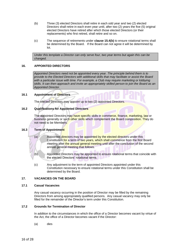- <span id="page-15-3"></span>(b) Three (3) elected Directors shall retire in each odd year and two (2) elected Directors shall retire in each even year until, after two (2) years the five (5) original elected Directors have retired after which those elected Directors (or their replacements) who first retired, shall retire and so on.
- (c) The sequence of retirements under **clause [15.4](#page-14-2)[\(b\)](#page-15-3)** to ensure rotational terms shall be determined by the Board. If the Board can not agree it will be determined by lot.

*Under this template a Director can only serve four, two year terms but again this can be changed.*

#### <span id="page-15-0"></span>**16. APPOINTED DIRECTORS**

*Appointed Directors need not be appointed every year. The principle behind them is to provide to the Elected Directors with additional skills that may facilitate or assist the Board with a particular issue with time. For example, a Club may require marketing or lobbying skills. It can then approach and invite an appropriately skilled person to join the Board as an Appointed Director.*

#### **16.1 Appointment of Directors**

The elected Directors may appoint up to two (2) appointed Directors.

#### **16.2 Qualifications for Appointed Directors**

The appointed Directors may have specific skills in commerce, finance, marketing, law or business generally or such other skills which complement the Board composition. They do not need to be Members.

#### **16.3 Term of Appointment**

- (a) Appointed directors may be appointed by the elected directors under this Constitution for a term of two years, which shall commence from the first Board meeting after the annual general meeting until after the conclusion of the second annual general meeting that follows.
- (b) Appointed Directors may be appointed to ensure rotational terms that coincide with the elected Directors' rotational terms.
- (c) Any adjustment to the term of appointed Directors appointed under this Constitution necessary to ensure rotational terms under this Constitution shall be determined by the Board.

#### <span id="page-15-1"></span>**17. VACANCIES ON THE BOARD**

#### <span id="page-15-2"></span>**17.1 Casual Vacancies**

Any casual vacancy occurring in the position of Director may be filled by the remaining Directors from among appropriately qualified persons. Any casual vacancy may only be filled for the remainder of the Director's term under this Constitution.

#### **17.2 Grounds for Termination of Director**

In addition to the circumstances in which the office of a Director becomes vacant by virtue of the Act, the office of a Director becomes vacant if the Director:

(a) dies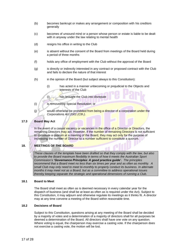- (b) becomes bankrupt or makes any arrangement or composition with his creditors generally
- (c) becomes of unsound mind or a person whose person or estate is liable to be dealt with in anyway under the law relating to mental health
- (d) resigns his office in writing to the Club
- (e) is absent without the consent of the Board from meetings of the Board held during a period of three months
- (f) holds any office of employment with the Club without the approval of the Board
- (g) is directly or indirectly interested in any contract or proposed contract with the Club and fails to declare the nature of that interest
- (h) in the opinion of the Board (but subject always to this Constitution):
	- (i) has acted in a manner unbecoming or prejudicial to the Objects and interests of the Club
	- (i) has brought the Club into disrepute
- (i) is removed by Special Resolution; or
- (i) would otherwise be prohibited from being a director of a corporation under the *Corporations Act 2001 (Cth.)*.

#### **17.3 Board May Act**

In the event of a casual vacancy or vacancies in the office of a Director or Directors, the remaining Directors may act. However, if the number of remaining Directors is not sufficient to constitute a quorum at a meeting of the Board, they may act only for the purpose of increasing the number of Director to a number sufficient to constitute a quorum.

#### <span id="page-16-0"></span>**18. MEETINGS OF THE BOARD**

*These clauses of the template have been drafted so that they comply with the law, but also to provide the Board maximum flexibility in terms of how it meets the Australian Sport Commission's 'Governance Principles: A good practice guide'. The principles recommend that a Board meet no less than six times per year and as often as monthly. A small Club may only need to meet bi-monthly to properly conduct its business. In alternate months it may meet not as a Board, but as a committee to address operational issues thereby keeping separate the strategic and operational dimensions of running a Club.*

#### **18.1 Board to Meet**

The Board shall meet as often as is deemed necessary in every calendar year for the dispatch of business (and shall be at least as often as is required under the Act). Subject to this Constitution, it may adjourn and otherwise regulate its meetings as it thinks fit. A director may at any time convene a meeting of the Board within reasonable time.

#### **18.2 Decisions of Board**

Subject to this Constitution, questions arising at any meeting of the Board shall be decided by a majority of votes and a determination of a majority of directors shall for all purposes be deemed a determination of the Board. All directors shall have one vote on any question. Where voting is equal, the chairperson may exercise a casting vote. If the chairperson does not exercise a casting vote, the motion will be lost.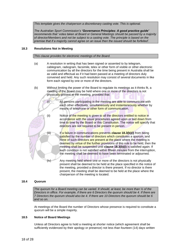*This template gives the chairperson a discretionary casting vote. This is optional.* 

*The Australian Sport Commission's 'Governance Principles: A good practice guide' recommends that 'votes taken at Board or General Meetings should be passed by a majority of director/Members and not be subject to a casting vote. The principle is based on the premise that if a majority cannot agree on an issue then the issued should be forfeited'.*

#### **18.3 Resolutions Not in Meeting**

*This clause provides for electronic meetings of the Board.* 

- (a) A resolution in writing that has been signed or assented to by telegram, cablegram, radiogram, facsimile, telex or other form of visible or other electronic communication by all the directors for the time being present in Australia shall be as valid and effectual as if it had been passed at a meeting of directors duly convened and held. Any such resolution may consist of several documents in like form each signed by one or more of the directors.
- <span id="page-17-1"></span><span id="page-17-0"></span>(b) Without limiting the power of the Board to regulate its meetings as it thinks fit, a meeting of the Board may be held where one or more of the directors is not physically present at the meeting, provided that:

(i) All persons participating in the meeting are able to communicate with each other effectively, simultaneously and instantaneously whether by means of telephone or other form of communication.

(ii) Notice of the meeting is given to all the directors entitled to notice in accordance with the usual procedures agreed upon or laid down from time to time by the Board or this Constitution. The notice will specify that directors are not required to be present in person.

(iii) If a failure in communications prevents **clause 18.[3\(b\)](#page-17-0)[\(i\)](#page-17-1)** from being satisfied by the number of directors which constitutes a quorum, and none of such directors are present at the place where the meeting is deemed by virtue of the further provisions of this rule to be held, then the meeting shall be suspended until **clause 18.[3\(b\)](#page-17-0)[\(i\)](#page-17-1)** is satisfied again. If such condition is not satisfied within fifteen minutes from the interruption, the meeting shall be deemed to have been terminated or adjourned.

(iv) Any meeting held where one or more of the directors is not physically present shall be deemed to be held at the place specified in the notice of the meeting, provided a director is there present. If no director is there present, the meeting shall be deemed to be held at the place where the chairperson of the meeting is located.

#### **18.4 Quorum**

*The quorum for a Board meeting can be varied. It should, at least, be more than ½ of the Directors in office. For example, if there are 6 Directors the quorum should be 4. If there are 7 Directors the quorum should also be 4. If there are 10 Directors the quorum should be 6 and so on.*

At meetings of the Board the number of Directors whose presence is required to constitute a quorum will be a simple majority.

#### **18.5 Notice of Board Meetings**

Unless all Directors agree to hold a meeting at shorter notice (which agreement shall be sufficiently evidenced by their apology or presence) not less than fourteen (14) days written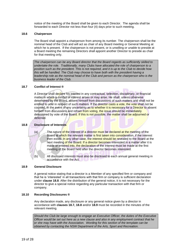notice of the meeting of the Board shall be given to each Director. The agenda shall be forwarded to each Director not less than four (4) days prior to such meeting.

#### **18.6 Chairperson**

The Board shall appoint a chairperson from among its number. The chairperson shall be the nominal head of the Club and will act as chair of any Board meeting or General Meeting at which he is present. If the chairperson is not present, or is unwilling or unable to preside at a Board meeting the remaining Directors shall appoint another Director to preside as chair for that meeting only.

*The chairperson can be any Board director that the Board regards as sufficiently skilled to undertake the role. Traditionally, many Clubs have allocated the role of chairperson to a position such as the president. This is not required, and it is up to the Club to decide how this will be handled. The Club may choose to have both with the president having a leadership role as the nominal head of the Club and person as the chairperson who is the business leader of the Club.* 

#### **18.7 Conflict of Interest ®**

A Director shall declare his interest in any contractual, selection, disciplinary, or financial matter in which a conflict of interest arises or may arise. He shall, unless otherwise determined by the Board, absent himself from discussions of such matters and shall not be entitled to vote in respect of such matters. If the director casts a vote, the vote shall not be counted. In the event of any uncertainty as to whether it is necessary for a Director to absent himself from discussions and refrain from voting, the issue should be immediately determined by vote of the Board. If this is not possible, the matter shall be adjourned or deferred.

#### <span id="page-18-0"></span>**18.8 Disclosure of Interests**

(a) The nature of the interest of a director must be declared at the meeting of the Board at which the relevant matter is first taken into consideration, if the interest then exists. In any other case, the interest should be revealed to the Board at the next meeting of the Board. If a director becomes interested in a matter after it is made or entered into, the declaration of the interest must be made at the first meeting of the Board held after the director becomes interested.

(b) All disclosed interests must also be disclosed to each annual general meeting in accordance with the Act.

#### <span id="page-18-1"></span>**18.9 General Disclosure**

A general notice stating that a director is a Member of any specified firm or company and that he is 'interested' in all transactions with that firm or company is sufficient declaration under **clause [18.8](#page-18-0)**. After the distribution of the general notice, it is not necessary for the director to give a special notice regarding any particular transaction with that firm or company.

#### **18.10 Recording Disclosures ®**

Any declaration made, any disclosure or any general notice given by a director in accordance with **clauses 18.7, [18.8](#page-18-0)** and/or **[18.9](#page-18-1)** must be recorded in the minutes of the relevant meeting.

*Should the Club be large enough to engage an Executive Officer, the duties of the Executive Officer would be set out here as a new clause and also in any employment contract that he or she may have with the Association. Wording for this section of the template can be obtained by contacting the NSW Department of the Arts, Sport and Recreation.*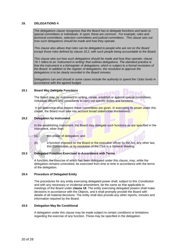#### <span id="page-19-0"></span>**19. DELEGATIONS ®**

*The delegations clause recognises that the Board has to delegate functions and tasks to special committees or individuals. In sport, these are common. For example, rules and technical committees, selection committees and judicial committees. This clause sets out how such delegations should be made and how they operate.*

*This clause also allows that roles can be delegated to people who are not on the Board except those roles defined by clause 19.2, with such people being accountable to the Board.*

*This clause sets out how such delegations should be made and how they operate; clause 19.1 refers to an 'instrument in writing' that outlines delegations. The standard practice is that the instrument is a list/register of delegations, which is subject to a formal resolution of the Board. In addition to the register of delegations, the resolution to approve the delegations is to be clearly recorded in the Board minutes.*

*Delegations can and should in some cases include the authority to spend the Clubs funds in accordance with the agreed budget.*

#### **19.1 Board May Delegate Functions**

The Board may, by instrument in writing, create, establish or appoint special committees, Individual officers and consultants to carry out specific duties and functions.

It will determine what powers these committees are given. In exercising its power under this clause, the Board must take into account broad stakeholder involvement.

#### **19.2 Delegation by Instrument**

In the establishing instrument, the Board may delegate such functions as are specified in the instrument, other than:

- (a) this power of delegation; and
- (b) a function imposed on the Board or the executive officer by the Act, any other law, this Constitution, or by resolution of the Club in a General Meeting.

#### **19.3 Delegated Function Exercised in Accordance with Terms**

A function, the exercise of which has been delegated under this clause, may, while the delegation remains unrevoked, be exercised from time to time in accordance with the terms of the delegation.

#### **19.4 Procedure of Delegated Entity**

The procedures for any entity exercising delegated power shall, subject to this Constitution and with any necessary or incidental amendment, be the same as that applicable to meetings of the Board under **clause [18](#page-16-0)**. The entity exercising delegated powers shall make decisions in accordance with the Objects, and it shall promptly provide the Board with details of all material decisions. The entity shall also provide any other reports, minutes and information required by the Board.

#### **19.5 Delegation May Be Conditional**

A delegation under this clause may be made subject to certain conditions or limitations regarding the exercise of any function. These may be specified in the delegation.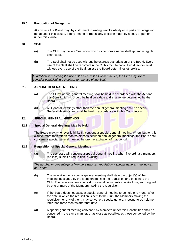#### **19.6 Revocation of Delegation**

At any time the Board may, by instrument in writing, revoke wholly or in part any delegation made under this clause. It may amend or repeal any decision made by a body or person under this clause.

#### <span id="page-20-0"></span>**20. SEAL**

- (a) The Club may have a Seal upon which its corporate name shall appear in legible characters.
- (b) The Seal shall not be used without the express authorisation of the Board. Every use of the Seal shall be recorded in the Club's minute book. Two directors must witness every use of the Seal, unless the Board determines otherwise.

*In addition to recording the use of the Seal in the Board minutes, the Club may like to consider establishing a Register for the use of the Seal.*

#### <span id="page-20-1"></span>**21. ANNUAL GENERAL MEETING**

(a) The Club's annual general meeting shall be held in accordance with the Act and this Constitution. It should be held on a date and at a venue determined by the Board.

(b) All General Meetings other than the annual general meeting shall be special General Meetings and shall be held in accordance with this Constitution.

#### <span id="page-20-2"></span>**22. SPECIAL GENERAL MEETINGS**

#### **22.1 Special General Meetings May be Held**

The Board may, whenever it thinks fit, convene a special general meeting. When, but for this clause, more than fifteen months elapses between annual general meetings, the Board shall convene a special general meeting before the expiration of that period.

#### **22.2 Requisition of Special General Meetings**

(a) The secretary will convene a special general meeting when five ordinary members (no less) submit a requisition in writing.

*The number or percentage of Members who can requisition a special general meeting can be varied.*

- (b) The requisition for a special general meeting shall state the object(s) of the meeting, be signed by the Members making the requisition and be sent to the Club. The requisition may consist of several documents in a like form, each signed by one or more of the Members making the requisition.
- (c) If the Board does not cause a special general meeting to be held one month after the date in which the requisition is sent to the Club, the Members making the requisition, or any of them, may convene a special general meeting to be held no later than three months after that date.
- (d) A special general meeting convened by Members under this Constitution shall be convened in the same manner, or as close as possible, as those convened by the Board.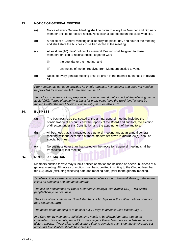#### <span id="page-21-0"></span>**23. NOTICE OF GENERAL MEETING**

- (a) Notice of every General Meeting shall be given to every Life Member and Ordinary Member entitled to receive notice. Notices shall be posted on the clubs web site.
- (b) A notice of a General Meeting shall specify the place, day and hour of the meeting and shall state the business to be transacted at the meeting.
- (c) At least ten (10) days' notice of a General Meeting shall be given to those Members entitled to receive notice, together with:
	- (i) the agenda for the meeting; and
	- (ii) any notice of motion received from Members entitled to vote.
- (d) Notice of every general meeting shall be given in the manner authorised in **clause [37](#page-27-0)**.

*Proxy voting has not been provided for in this template. It is optional and does not need to be provided for under the Act. See also clause 27.3.*

*Should you choose to allow proxy voting we recommend that you adopt the following clause as 23(c)(iii): "forms of authority in blank for proxy votes" and the word "and" should be moved to after the word "vote" in clause 23(c)(ii) See also 27.3.*

#### <span id="page-21-3"></span><span id="page-21-1"></span>**24. BUSINESS**

(a) The business to be transacted at the annual general meeting includes the consideration of accounts and the reports of the Board and auditors, the election of directors under this Constitution and the appointment of the auditors.

(b) All business that is transacted at a general meeting and at an annual general meeting, with the exception of those matters set down in **clause [24](#page-21-1)[\(a\)](#page-21-3)**, shall be special business.

(c) No business other than that stated on the notice for a general meeting shall be transacted at that meeting.

#### <span id="page-21-2"></span>**25. NOTICES OF MOTION**

Members entitled to vote may submit notices of motion for inclusion as special business at a general meeting. All notices of motion must be submitted in writing to the Club no less than ten (10) days (excluding receiving date and meeting date) prior to the general meeting.

*Timelines: This Constitution contains several timelines around General Meetings, these are linked so changing one can affect others:*

*The call for nominations for Board Members is 48 days (see clause 15.1). This allows people 37 days to nominate.*

*The close of nominations for Board Members is 10 days as is the call for notices of motion (see clause 15.2(e)).*

*The notice of the meeting is to be sent out 10 days in advance (see clause 23(c)).*

*In a Club run by volunteers sufficient time needs to be allowed for each step to be completed. For example, some Clubs may require Board Members to undertake criminal history checks. If your Club requires more time to complete each step, the timeframes set out in this Constitution should be increased.*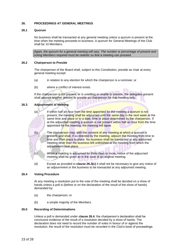#### <span id="page-22-0"></span>**26. PROCEEDINGS AT GENERAL MEETINGS**

#### **26.1 Quorum**

No business shall be transacted at any general meeting unless a quorum is present at the time when the meeting proceeds to business. A quorum for General Meetings of the Club shall be 10 Members.

*Again, the quorum for a general meeting will vary. The number or percentage of present and voting Members required must be realistic so that a meeting can proceed.*

#### **26.2 Chairperson to Preside**

The chairperson of the Board shall, subject to this Constitution, preside as chair at every general meeting except:

- (a) in relation to any election for which the chairperson is a nominee; or
- (b) where a conflict of interest exists.

If the chairperson is not present, or is unwilling or unable to preside, the delegates present shall appoint another director to preside as chairperson for that meeting only.

#### <span id="page-22-1"></span>**26.3 Adjournment of Meeting**

- (a) If within half an hour from the time appointed for the meeting a quorum is not present, the meeting shall be adjourned until the same day in the next week at the same time and place or to a date, time or place determined by the chairperson. If at the adjourned meeting a quorum is not present within half an hour from the time appointed for the meeting, the meeting will lapse.
- (b) The chairperson may, with the consent of any meeting at which a quorum is present, and shall, if so directed by the meeting, adjourn the meeting from time to time and from place to place. No business shall be transacted at any adjourned meeting other than the business left unfinished at the meeting from which the adjournment took place.
- <span id="page-22-2"></span>(c) When a meeting is adjourned for thirty days or more, notice of the adjourned meeting shall be given as in the case of an original meeting.
- (d) Except as provided in **clause [26.3](#page-22-1)[\(c\)](#page-22-2)** it shall not be necessary to give any notice of an adjournment or the business to be transacted at any adjourned meeting.

#### <span id="page-22-3"></span>**26.4 Voting Procedure**

At any meeting a resolution put to the vote of the meeting shall be decided on a show of hands unless a poll is (before or on the declaration of the result of the show of hands) demanded by:

- (a) the chairperson; or
- (b) a simple majority of the Members.

#### **26.5 Recording of Determinations**

Unless a poll is demanded under **clause [26.4](#page-22-3)**, the chairperson's declaration shall be conclusive evidence of the result of a resolution decided by a show of hands. The declaration does not need to record the number of votes in favour of or against the resolution; the result of the resolution must be recorded in the Club's book of proceedings.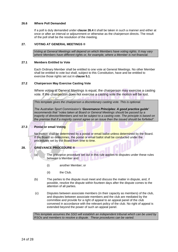#### **26.6 Where Poll Demanded**

If a poll is duly demanded under **clause [26.4](#page-22-3)** it shall be taken in such a manner and either at once or after an interval or adjournment or otherwise as the chairperson directs. The result of the poll shall be the resolution of the meeting.

#### <span id="page-23-0"></span>**27. VOTING AT GENERAL MEETINGS ®**

*Voting at General Meetings will depend on which Members have voting rights. It may vary where Members have different rights or, for example, where a Member is not financial.*

#### **27.1 Members Entitled to Vote**

Each Ordinary Member shall be entitled to one vote at General Meetings. No other Member shall be entitled to vote but shall, subject to this Constitution, have and be entitled to exercise those rights set out in **clause [5.1](#page-7-1)**.

#### **27.2 Chairperson May Exercise Casting Vote**

Where voting at General Meetings is equal, the chairperson may exercise a casting vote. If the chairperson does not exercise a casting vote the motion will be lost.

*This template gives the chairperson a discretionary casting vote. This is optional.* 

*The Australian Sport Commission's 'Governance Principles: A good practice guide' recommends that "votes taken at Board or General Meetings should be passed by a majority of director/Members and not be subject to a casting vote. The principle is based on the premise that if a majority cannot agree on an issue then the issued should be forfeited".*

#### **27.3 Postal or email Voting**

No motion shall be determined by a postal or email ballot unless determined by the Board. If the Board so determines, the postal or email ballot shall be conducted under the procedures set by the Board from time to time.

#### <span id="page-23-1"></span>**28. GRIEVANCE PROCEDURE ®**

- (a) The grievance procedure set out in this rule applies to disputes under these rules between a Member and:
	- (i) another Member; or
	- (ii) the Club.
- (b) The parties to the dispute must meet and discuss the matter in dispute, and, if possible, resolve the dispute within fourteen days after the dispute comes to the attention of all parties.
- (c) Disputes between associate members (in their capacity as members) of the club, and disputes between associate members and the club are mediated by the committee and provide for a right of appeal to an appeal panel of the club convened in accordance with the relevant policy of the club. No right of appeal is extended beyond the power of such an appeal panel.

*This template assumes the SSO will establish an independent tribunal which can be used by RSOs and members to resolve a dispute. These procedures can be varied.*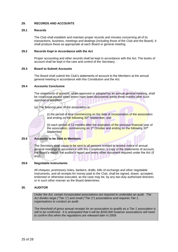#### <span id="page-24-0"></span>**29. RECORDS AND ACCOUNTS**

#### **29.1 Records**

The Club shall establish and maintain proper records and minutes concerning all of its transactions, business, meetings and dealings (including those of the Club and the Board). It shall produce these as appropriate at each Board or general meeting.

#### **29.2 Records Kept in Accordance with the Act**

Proper accounting and other records shall be kept in accordance with the Act. The books of account shall be kept in the care and control of the Secretary.

#### **29.3 Board to Submit Accounts**

The Board shall submit the Club's statements of account to the Members at the annual general meeting in accordance with this Constitution and the Act.

#### **29.4 Accounts Conclusive**

The statements of account, when approved or adopted by an annual general meeting. shall be conclusive except when errors have been discovered within three months after such approval or adoption.

(a) The financial year of the association is:

(i) the period of time commencing on the date of incorporation of the association and ending on the following 30<sup>th</sup> September, and

(ii) each period of 12 months after the expiration of the previous financial year of the association, commencing on 1<sup>st</sup> October and ending on the following 30<sup>th</sup> September

#### **29.5 Accounts to be Sent to Members**

The Secretary shall cause to be sent to all persons entitled to receive notice of annual general meetings in accordance with this Constitution, a copy of the statements of account, the Board's report, the auditor's report and every other document required under the Act (if any).

#### **29.6 Negotiable Instruments**

All cheques, promissory notes, bankers, drafts, bills of exchange and other negotiable instruments, and all receipts for money paid to the Club, shall be signed, drawn, accepted, endorsed or otherwise executed, as the case may be, by any two duly authorised directors or in such other manner as the Board determines.

#### <span id="page-24-1"></span>**30. AUDITOR**

*Under the Act, certain incorporated associations are required to undertake an audit. The Act divides large ("Tier 1") and small ("Tier 2") associations and requires Tier 1 organisations to conduct an audit.*

*The threshold of gross annual receipts for an association to qualify as a Tier 1 association is still to be confirmed. It is anticipated that it will be \$200,000 however associations will need to confirm this when the regulations are released later in 2009.*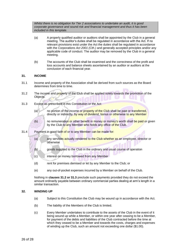*Whilst there is no obligation for Tier 2 associations to undertake an audit, it is good corporate governance and sound risk and financial management and thus it has been included in this template.* 

- (a) A properly qualified auditor or auditors shall be appointed by the Club in a general meeting. The auditor's duties shall be regulated in accordance with the Act. If no relevant provisions exist under the Act the duties shall be regulated in accordance with the *Corporations Act 2001 (Cth.)* and generally accepted principles and/or any applicable code of conduct. The auditor may be removed by the Club in a general meeting.
- (b) The accounts of the Club shall be examined and the correctness of the profit and loss accounts and balance sheets ascertained by an auditor or auditors at the conclusion of each financial year.

#### <span id="page-25-0"></span>**31. INCOME**

- 31.1 Income and property of the Association shall be derived from such sources as the Board determines from time to time.
- <span id="page-25-2"></span>31.2 The income and property of the Club shall be applied solely towards the promotion of the Objects.
- <span id="page-25-3"></span>31.3 Except as prescribed in this Constitution or the Act:
	- (a) no portion of the income or property of the Club shall be paid or transferred. directly or indirectly, by way of dividend, bonus or otherwise to any Member
	-

(b) no remuneration or other benefit in money or money's worth shall be paid or given by the Club to any Member who holds any office of the Club.

- 31.4 Payment in good faith of or to any Member can be made for:
	- (a) any services actually rendered to the Club whether as an employee, director or otherwise
	- (b) goods supplied to the Club in the ordinary and usual course of operation
	- (c) interest on money borrowed from any Member
	- (d) rent for premises demised or let by any Member to the Club; or
	- (e) any out-of-pocket expenses incurred by a Member on behalf of the Club.

Nothing in **clauses [31.2](#page-25-2) or [31.3](#page-25-3)** preclude such payments provided they do not exceed the amount ordinarily payable between ordinary commercial parties dealing at arm's length in a similar transaction.

#### <span id="page-25-1"></span>**32. WINDING UP**

- (a) Subject to this Constitution the Club may be wound up in accordance with the Act.
- (b) The liability of the Members of the Club is limited.
- (c) Every Member undertakes to contribute to the assets of the Club in the event of it being wound up while a Member, or within one year after ceasing to be a Member, for payment of the debts and liabilities of the Club contracted before the time at which they ceased to be a Member and towards the costs, charges and expenses of winding up the Club, such an amount not exceeding one dollar (\$1.00).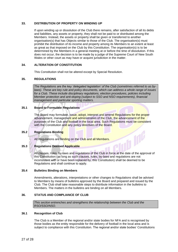#### <span id="page-26-0"></span>**33. DISTRIBUTION OF PROPERTY ON WINDING UP**

If upon winding up or dissolution of the Club there remains, after satisfaction of all its debts and liabilities, any assets or property, they shall not be paid to or distributed among the Members. Instead, the assets or property shall be given or transferred to another organisation(s) that has Objects similar to those of the Club. The organisation(s) must prohibit the distribution of its income and property among its Members to an extent at least as great as that imposed on the Club by this Constitution. The organisation(s) is to be determined by the Members in a general meeting at or before the time of dissolution. If this does not occur, the decision is to be made by a judge of the Supreme Court of New South Wales or other court as may have or acquire jurisdiction in the matter.

#### <span id="page-26-1"></span>**34. ALTERATION OF CONSTITUTION**

This Constitution shall not be altered except by Special Resolution.

#### <span id="page-26-2"></span>**35. REGULATIONS**

*The Regulations are the key 'delegated legislation' of the Club (sometimes referred to as bylaws). These are key rule and policy documents, which can address a whole range of issues for a Club. These include disciplinary regulations, election procedures, policies including Member protection and anti-doping (subject to SSO and NSO requirements), financial management and particular sporting matters.*

#### **35.1 Board to Formulate Regulations**

The Board may formulate, issue, adopt, interpret and amend Regulations for the proper advancement, management and administration of the Club, the advancement of the purposes of the Club and football in the local area. Such Regulations must be consistent with the Constitution and any policy directives of the Board.

#### **35.2 Regulations Binding**

All Regulations are binding on the Club and all Members.

#### **35.3 Regulations Deemed Applicable**

All clauses, rules, by-laws and regulations of the Club in force at the date of the approval of this Constitution (as long as such clauses, rules, by-laws and regulations are not inconsistent with or have been replaced by, this Constitution) shall be deemed to be Regulations and shall continue to apply.

 $\widehat{\mathbb{D}^{\mathbb{D}^6}}$ 

#### **35.4 Bulletins Binding on Members**

Amendments, alterations, interpretations or other changes to Regulations shall be advised to Members by means of bulletins approved by the Board and prepared and issued by the Club. The Club shall take reasonable steps to distribute information in the bulletins to Members. The matters in the bulletins are binding on all Members.

#### <span id="page-26-3"></span>**36. STATUS AND COMPLIANCE OF CLUB**

*This section entrenches and strengthens the relationship between the Club and the RSO/SSO/NSO.* 

#### **36.1 Recognition of Club**

The Club is a Member of the regional and/or state bodies for NFA and is recognised by those bodies as the entity responsible for the delivery of football in the local area and is subject to compliance with this Constitution. The regional and/or state bodies' Constitutions